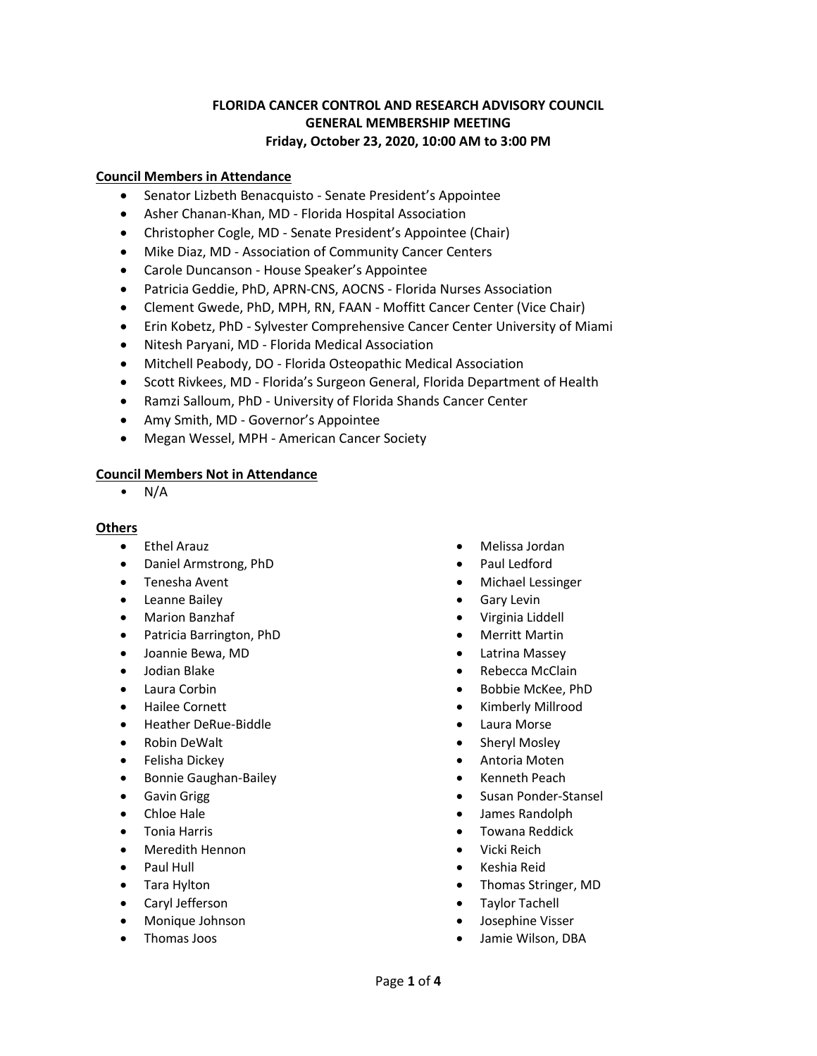## **FLORIDA CANCER CONTROL AND RESEARCH ADVISORY COUNCIL GENERAL MEMBERSHIP MEETING Friday, October 23, 2020, 10:00 AM to 3:00 PM**

### **Council Members in Attendance**

- Senator Lizbeth Benacquisto Senate President's Appointee
- Asher Chanan-Khan, MD Florida Hospital Association
- Christopher Cogle, MD Senate President's Appointee (Chair)
- Mike Diaz, MD Association of Community Cancer Centers
- Carole Duncanson House Speaker's Appointee
- Patricia Geddie, PhD, APRN-CNS, AOCNS Florida Nurses Association
- Clement Gwede, PhD, MPH, RN, FAAN Moffitt Cancer Center (Vice Chair)
- Erin Kobetz, PhD Sylvester Comprehensive Cancer Center University of Miami
- Nitesh Paryani, MD Florida Medical Association
- Mitchell Peabody, DO Florida Osteopathic Medical Association
- Scott Rivkees, MD Florida's Surgeon General, Florida Department of Health
- Ramzi Salloum, PhD University of Florida Shands Cancer Center
- Amy Smith, MD Governor's Appointee
- Megan Wessel, MPH American Cancer Society

### **Council Members Not in Attendance**

 $\bullet$  N/A

### **Others**

- Ethel Arauz
- Daniel Armstrong, PhD
- Tenesha Avent
- Leanne Bailey
- Marion Banzhaf
- Patricia Barrington, PhD
- Joannie Bewa, MD
- Jodian Blake
- Laura Corbin
- Hailee Cornett
- Heather DeRue-Biddle
- Robin DeWalt
- Felisha Dickey
- Bonnie Gaughan-Bailey
- Gavin Grigg
- Chloe Hale
- Tonia Harris
- Meredith Hennon
- Paul Hull
- Tara Hylton
- Caryl Jefferson
- Monique Johnson
- Thomas Joos
- Melissa Jordan
- Paul Ledford
- Michael Lessinger
- Gary Levin
- Virginia Liddell
- Merritt Martin
- Latrina Massey
- Rebecca McClain
- Bobbie McKee, PhD
- Kimberly Millrood
- Laura Morse
- Sheryl Mosley
- Antoria Moten
- Kenneth Peach
- Susan Ponder-Stansel
- James Randolph
- Towana Reddick
- Vicki Reich
- Keshia Reid
- Thomas Stringer, MD
- Taylor Tachell
- Josephine Visser
- Jamie Wilson, DBA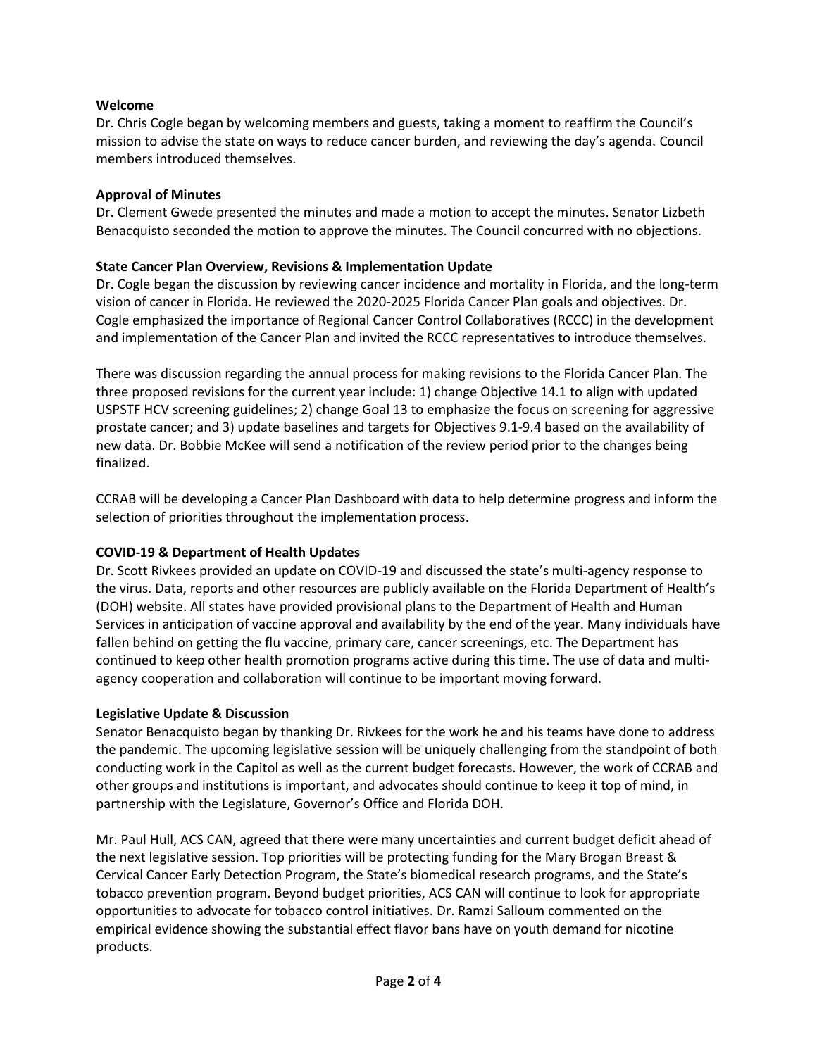## **Welcome**

Dr. Chris Cogle began by welcoming members and guests, taking a moment to reaffirm the Council's mission to advise the state on ways to reduce cancer burden, and reviewing the day's agenda. Council members introduced themselves.

### **Approval of Minutes**

Dr. Clement Gwede presented the minutes and made a motion to accept the minutes. Senator Lizbeth Benacquisto seconded the motion to approve the minutes. The Council concurred with no objections.

### **State Cancer Plan Overview, Revisions & Implementation Update**

Dr. Cogle began the discussion by reviewing cancer incidence and mortality in Florida, and the long-term vision of cancer in Florida. He reviewed the 2020-2025 Florida Cancer Plan goals and objectives. Dr. Cogle emphasized the importance of Regional Cancer Control Collaboratives (RCCC) in the development and implementation of the Cancer Plan and invited the RCCC representatives to introduce themselves.

There was discussion regarding the annual process for making revisions to the Florida Cancer Plan. The three proposed revisions for the current year include: 1) change Objective 14.1 to align with updated USPSTF HCV screening guidelines; 2) change Goal 13 to emphasize the focus on screening for aggressive prostate cancer; and 3) update baselines and targets for Objectives 9.1-9.4 based on the availability of new data. Dr. Bobbie McKee will send a notification of the review period prior to the changes being finalized.

CCRAB will be developing a Cancer Plan Dashboard with data to help determine progress and inform the selection of priorities throughout the implementation process.

# **COVID-19 & Department of Health Updates**

Dr. Scott Rivkees provided an update on COVID-19 and discussed the state's multi-agency response to the virus. Data, reports and other resources are publicly available on the Florida Department of Health's (DOH) website. All states have provided provisional plans to the Department of Health and Human Services in anticipation of vaccine approval and availability by the end of the year. Many individuals have fallen behind on getting the flu vaccine, primary care, cancer screenings, etc. The Department has continued to keep other health promotion programs active during this time. The use of data and multiagency cooperation and collaboration will continue to be important moving forward.

### **Legislative Update & Discussion**

Senator Benacquisto began by thanking Dr. Rivkees for the work he and his teams have done to address the pandemic. The upcoming legislative session will be uniquely challenging from the standpoint of both conducting work in the Capitol as well as the current budget forecasts. However, the work of CCRAB and other groups and institutions is important, and advocates should continue to keep it top of mind, in partnership with the Legislature, Governor's Office and Florida DOH.

Mr. Paul Hull, ACS CAN, agreed that there were many uncertainties and current budget deficit ahead of the next legislative session. Top priorities will be protecting funding for the Mary Brogan Breast & Cervical Cancer Early Detection Program, the State's biomedical research programs, and the State's tobacco prevention program. Beyond budget priorities, ACS CAN will continue to look for appropriate opportunities to advocate for tobacco control initiatives. Dr. Ramzi Salloum commented on the empirical evidence showing the substantial effect flavor bans have on youth demand for nicotine products.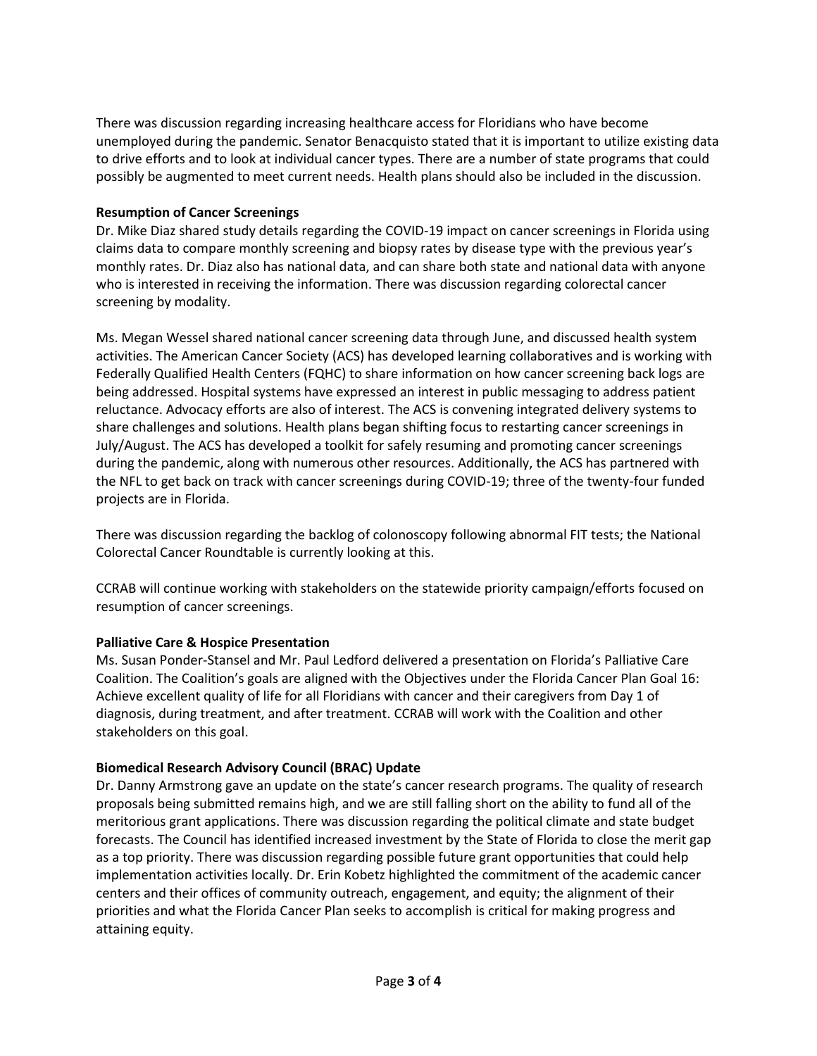There was discussion regarding increasing healthcare access for Floridians who have become unemployed during the pandemic. Senator Benacquisto stated that it is important to utilize existing data to drive efforts and to look at individual cancer types. There are a number of state programs that could possibly be augmented to meet current needs. Health plans should also be included in the discussion.

# **Resumption of Cancer Screenings**

Dr. Mike Diaz shared study details regarding the COVID-19 impact on cancer screenings in Florida using claims data to compare monthly screening and biopsy rates by disease type with the previous year's monthly rates. Dr. Diaz also has national data, and can share both state and national data with anyone who is interested in receiving the information. There was discussion regarding colorectal cancer screening by modality.

Ms. Megan Wessel shared national cancer screening data through June, and discussed health system activities. The American Cancer Society (ACS) has developed learning collaboratives and is working with Federally Qualified Health Centers (FQHC) to share information on how cancer screening back logs are being addressed. Hospital systems have expressed an interest in public messaging to address patient reluctance. Advocacy efforts are also of interest. The ACS is convening integrated delivery systems to share challenges and solutions. Health plans began shifting focus to restarting cancer screenings in July/August. The ACS has developed a toolkit for safely resuming and promoting cancer screenings during the pandemic, along with numerous other resources. Additionally, the ACS has partnered with the NFL to get back on track with cancer screenings during COVID-19; three of the twenty-four funded projects are in Florida.

There was discussion regarding the backlog of colonoscopy following abnormal FIT tests; the National Colorectal Cancer Roundtable is currently looking at this.

CCRAB will continue working with stakeholders on the statewide priority campaign/efforts focused on resumption of cancer screenings.

# **Palliative Care & Hospice Presentation**

Ms. Susan Ponder-Stansel and Mr. Paul Ledford delivered a presentation on Florida's Palliative Care Coalition. The Coalition's goals are aligned with the Objectives under the Florida Cancer Plan Goal 16: Achieve excellent quality of life for all Floridians with cancer and their caregivers from Day 1 of diagnosis, during treatment, and after treatment. CCRAB will work with the Coalition and other stakeholders on this goal.

# **Biomedical Research Advisory Council (BRAC) Update**

Dr. Danny Armstrong gave an update on the state's cancer research programs. The quality of research proposals being submitted remains high, and we are still falling short on the ability to fund all of the meritorious grant applications. There was discussion regarding the political climate and state budget forecasts. The Council has identified increased investment by the State of Florida to close the merit gap as a top priority. There was discussion regarding possible future grant opportunities that could help implementation activities locally. Dr. Erin Kobetz highlighted the commitment of the academic cancer centers and their offices of community outreach, engagement, and equity; the alignment of their priorities and what the Florida Cancer Plan seeks to accomplish is critical for making progress and attaining equity.